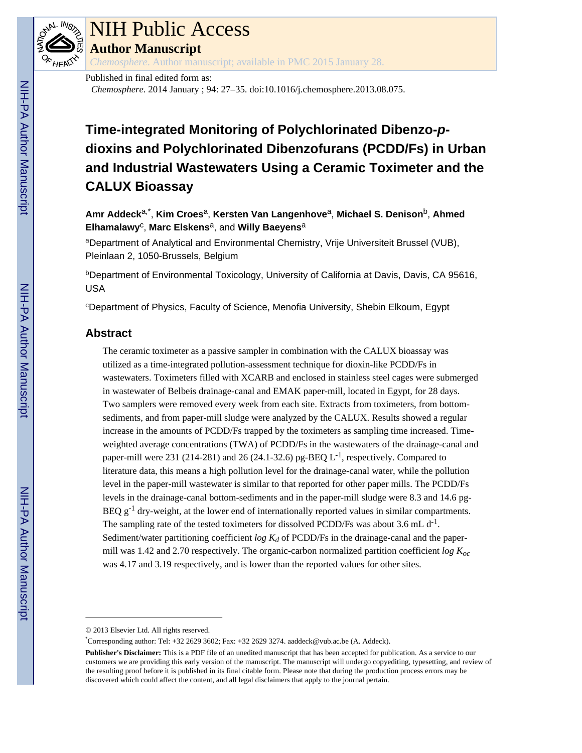

# NIH Public Access

**Author Manuscript**

*Chemosphere*. Author manuscript; available in PMC 2015 January 28.

Published in final edited form as: *Chemosphere*. 2014 January ; 94: 27–35. doi:10.1016/j.chemosphere.2013.08.075.

# **Time-integrated Monitoring of Polychlorinated Dibenzo-pdioxins and Polychlorinated Dibenzofurans (PCDD/Fs) in Urban and Industrial Wastewaters Using a Ceramic Toximeter and the CALUX Bioassay**

**Amr Addeck**a,\* , **Kim Croes**a, **Kersten Van Langenhove**a, **Michael S. Denison**b, **Ahmed Elhamalawy**<sup>c</sup> , **Marc Elskens**a, and **Willy Baeyens**<sup>a</sup>

aDepartment of Analytical and Environmental Chemistry, Vrije Universiteit Brussel (VUB), Pleinlaan 2, 1050-Brussels, Belgium

**bDepartment of Environmental Toxicology, University of California at Davis, Davis, CA 95616,** USA

<sup>c</sup>Department of Physics, Faculty of Science, Menofia University, Shebin Elkoum, Egypt

# **Abstract**

The ceramic toximeter as a passive sampler in combination with the CALUX bioassay was utilized as a time-integrated pollution-assessment technique for dioxin-like PCDD/Fs in wastewaters. Toximeters filled with XCARB and enclosed in stainless steel cages were submerged in wastewater of Belbeis drainage-canal and EMAK paper-mill, located in Egypt, for 28 days. Two samplers were removed every week from each site. Extracts from toximeters, from bottomsediments, and from paper-mill sludge were analyzed by the CALUX. Results showed a regular increase in the amounts of PCDD/Fs trapped by the toximeters as sampling time increased. Timeweighted average concentrations (TWA) of PCDD/Fs in the wastewaters of the drainage-canal and paper-mill were 231 (214-281) and 26 (24.1-32.6) pg-BEQ  $L^{-1}$ , respectively. Compared to literature data, this means a high pollution level for the drainage-canal water, while the pollution level in the paper-mill wastewater is similar to that reported for other paper mills. The PCDD/Fs levels in the drainage-canal bottom-sediments and in the paper-mill sludge were 8.3 and 14.6 pg-BEQ  $g^{-1}$  dry-weight, at the lower end of internationally reported values in similar compartments. The sampling rate of the tested toximeters for dissolved PCDD/Fs was about 3.6 mL  $d^{-1}$ . Sediment/water partitioning coefficient *log Kd* of PCDD/Fs in the drainage-canal and the papermill was 1.42 and 2.70 respectively. The organic-carbon normalized partition coefficient *log Koc*  was 4.17 and 3.19 respectively, and is lower than the reported values for other sites.

<sup>© 2013</sup> Elsevier Ltd. All rights reserved.

<sup>\*</sup>Corresponding author: Tel: +32 2629 3602; Fax: +32 2629 3274. aaddeck@vub.ac.be (A. Addeck).

**Publisher's Disclaimer:** This is a PDF file of an unedited manuscript that has been accepted for publication. As a service to our customers we are providing this early version of the manuscript. The manuscript will undergo copyediting, typesetting, and review of the resulting proof before it is published in its final citable form. Please note that during the production process errors may be discovered which could affect the content, and all legal disclaimers that apply to the journal pertain.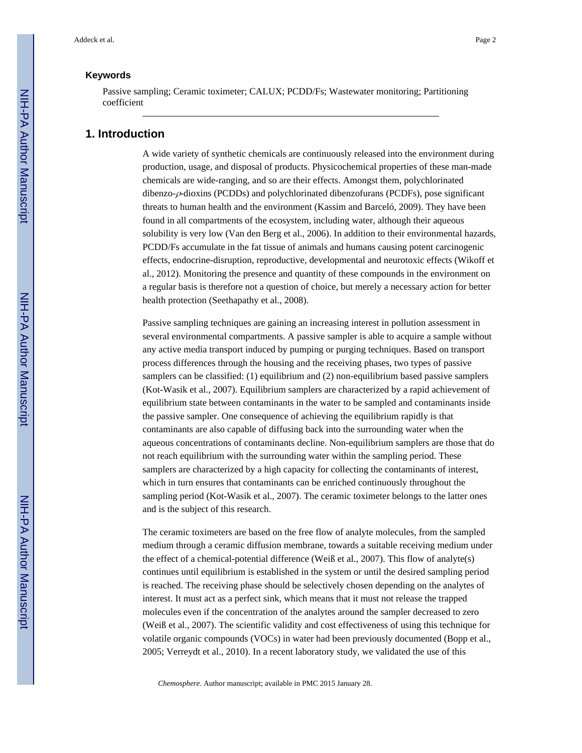#### **Keywords**

Passive sampling; Ceramic toximeter; CALUX; PCDD/Fs; Wastewater monitoring; Partitioning coefficient

## **1. Introduction**

A wide variety of synthetic chemicals are continuously released into the environment during production, usage, and disposal of products. Physicochemical properties of these man-made chemicals are wide-ranging, and so are their effects. Amongst them, polychlorinated dibenzo-ρ-dioxins (PCDDs) and polychlorinated dibenzofurans (PCDFs), pose significant threats to human health and the environment (Kassim and Barceló, 2009). They have been found in all compartments of the ecosystem, including water, although their aqueous solubility is very low (Van den Berg et al., 2006). In addition to their environmental hazards, PCDD/Fs accumulate in the fat tissue of animals and humans causing potent carcinogenic effects, endocrine-disruption, reproductive, developmental and neurotoxic effects (Wikoff et al., 2012). Monitoring the presence and quantity of these compounds in the environment on a regular basis is therefore not a question of choice, but merely a necessary action for better health protection (Seethapathy et al., 2008).

Passive sampling techniques are gaining an increasing interest in pollution assessment in several environmental compartments. A passive sampler is able to acquire a sample without any active media transport induced by pumping or purging techniques. Based on transport process differences through the housing and the receiving phases, two types of passive samplers can be classified: (1) equilibrium and (2) non-equilibrium based passive samplers (Kot-Wasik et al., 2007). Equilibrium samplers are characterized by a rapid achievement of equilibrium state between contaminants in the water to be sampled and contaminants inside the passive sampler. One consequence of achieving the equilibrium rapidly is that contaminants are also capable of diffusing back into the surrounding water when the aqueous concentrations of contaminants decline. Non-equilibrium samplers are those that do not reach equilibrium with the surrounding water within the sampling period. These samplers are characterized by a high capacity for collecting the contaminants of interest, which in turn ensures that contaminants can be enriched continuously throughout the sampling period (Kot-Wasik et al., 2007). The ceramic toximeter belongs to the latter ones and is the subject of this research.

The ceramic toximeters are based on the free flow of analyte molecules, from the sampled medium through a ceramic diffusion membrane, towards a suitable receiving medium under the effect of a chemical-potential difference (Weiß et al., 2007). This flow of analyte(s) continues until equilibrium is established in the system or until the desired sampling period is reached. The receiving phase should be selectively chosen depending on the analytes of interest. It must act as a perfect sink, which means that it must not release the trapped molecules even if the concentration of the analytes around the sampler decreased to zero (Weiß et al., 2007). The scientific validity and cost effectiveness of using this technique for volatile organic compounds (VOCs) in water had been previously documented (Bopp et al., 2005; Verreydt et al., 2010). In a recent laboratory study, we validated the use of this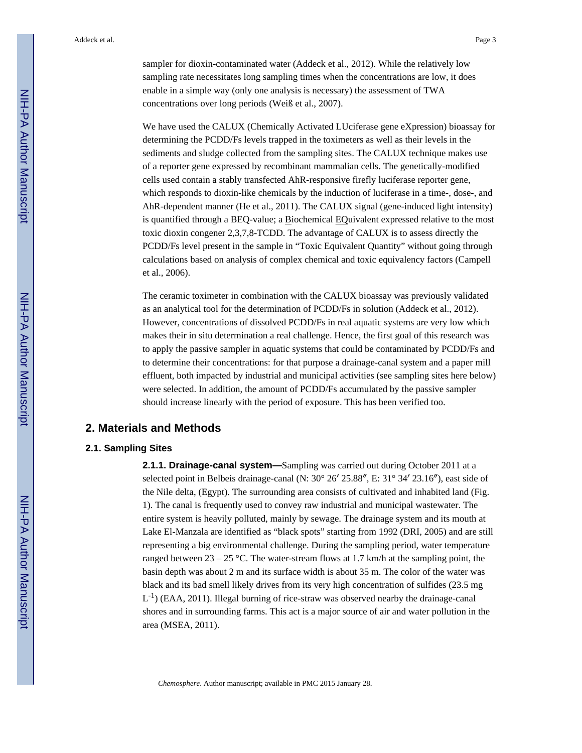sampler for dioxin-contaminated water (Addeck et al., 2012). While the relatively low sampling rate necessitates long sampling times when the concentrations are low, it does enable in a simple way (only one analysis is necessary) the assessment of TWA concentrations over long periods (Weiß et al., 2007).

We have used the CALUX (Chemically Activated LUciferase gene eXpression) bioassay for determining the PCDD/Fs levels trapped in the toximeters as well as their levels in the sediments and sludge collected from the sampling sites. The CALUX technique makes use of a reporter gene expressed by recombinant mammalian cells. The genetically-modified cells used contain a stably transfected AhR-responsive firefly luciferase reporter gene, which responds to dioxin-like chemicals by the induction of luciferase in a time-, dose-, and AhR-dependent manner (He et al., 2011). The CALUX signal (gene-induced light intensity) is quantified through a BEQ-value; a Biochemical EQuivalent expressed relative to the most toxic dioxin congener 2,3,7,8-TCDD. The advantage of CALUX is to assess directly the PCDD/Fs level present in the sample in "Toxic Equivalent Quantity" without going through calculations based on analysis of complex chemical and toxic equivalency factors (Campell et al., 2006).

The ceramic toximeter in combination with the CALUX bioassay was previously validated as an analytical tool for the determination of PCDD/Fs in solution (Addeck et al., 2012). However, concentrations of dissolved PCDD/Fs in real aquatic systems are very low which makes their in situ determination a real challenge. Hence, the first goal of this research was to apply the passive sampler in aquatic systems that could be contaminated by PCDD/Fs and to determine their concentrations: for that purpose a drainage-canal system and a paper mill effluent, both impacted by industrial and municipal activities (see sampling sites here below) were selected. In addition, the amount of PCDD/Fs accumulated by the passive sampler should increase linearly with the period of exposure. This has been verified too.

## **2. Materials and Methods**

#### **2.1. Sampling Sites**

**2.1.1. Drainage-canal system—**Sampling was carried out during October 2011 at a selected point in Belbeis drainage-canal (N: 30° 26′ 25.88″, E: 31° 34′ 23.16″), east side of the Nile delta, (Egypt). The surrounding area consists of cultivated and inhabited land (Fig. 1). The canal is frequently used to convey raw industrial and municipal wastewater. The entire system is heavily polluted, mainly by sewage. The drainage system and its mouth at Lake El-Manzala are identified as "black spots" starting from 1992 (DRI, 2005) and are still representing a big environmental challenge. During the sampling period, water temperature ranged between  $23 - 25$  °C. The water-stream flows at 1.7 km/h at the sampling point, the basin depth was about 2 m and its surface width is about 35 m. The color of the water was black and its bad smell likely drives from its very high concentration of sulfides (23.5 mg  $L^{-1}$ ) (EAA, 2011). Illegal burning of rice-straw was observed nearby the drainage-canal shores and in surrounding farms. This act is a major source of air and water pollution in the area (MSEA, 2011).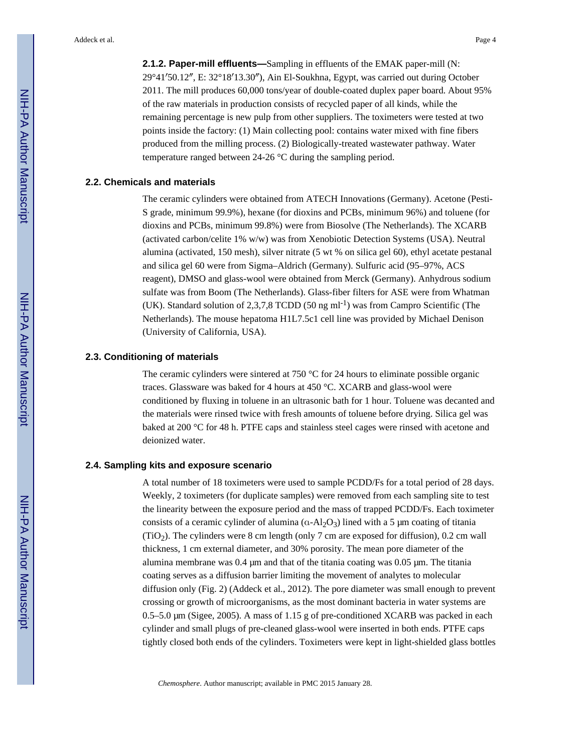**2.1.2. Paper-mill effluents—**Sampling in effluents of the EMAK paper-mill (N: 29°41′50.12″, E: 32°18′13.30″), Ain El-Soukhna, Egypt, was carried out during October 2011. The mill produces 60,000 tons/year of double-coated duplex paper board. About 95% of the raw materials in production consists of recycled paper of all kinds, while the remaining percentage is new pulp from other suppliers. The toximeters were tested at two points inside the factory: (1) Main collecting pool: contains water mixed with fine fibers produced from the milling process. (2) Biologically-treated wastewater pathway. Water temperature ranged between 24-26 °C during the sampling period.

#### **2.2. Chemicals and materials**

The ceramic cylinders were obtained from ATECH Innovations (Germany). Acetone (Pesti-S grade, minimum 99.9%), hexane (for dioxins and PCBs, minimum 96%) and toluene (for dioxins and PCBs, minimum 99.8%) were from Biosolve (The Netherlands). The XCARB (activated carbon/celite 1% w/w) was from Xenobiotic Detection Systems (USA). Neutral alumina (activated, 150 mesh), silver nitrate (5 wt % on silica gel 60), ethyl acetate pestanal and silica gel 60 were from Sigma–Aldrich (Germany). Sulfuric acid (95–97%, ACS reagent), DMSO and glass-wool were obtained from Merck (Germany). Anhydrous sodium sulfate was from Boom (The Netherlands). Glass-fiber filters for ASE were from Whatman (UK). Standard solution of 2,3,7,8 TCDD (50 ng ml<sup>-1</sup>) was from Campro Scientific (The Netherlands). The mouse hepatoma H1L7.5c1 cell line was provided by Michael Denison (University of California, USA).

#### **2.3. Conditioning of materials**

The ceramic cylinders were sintered at 750  $\degree$ C for 24 hours to eliminate possible organic traces. Glassware was baked for 4 hours at 450 °C. XCARB and glass-wool were conditioned by fluxing in toluene in an ultrasonic bath for 1 hour. Toluene was decanted and the materials were rinsed twice with fresh amounts of toluene before drying. Silica gel was baked at 200 °C for 48 h. PTFE caps and stainless steel cages were rinsed with acetone and deionized water.

#### **2.4. Sampling kits and exposure scenario**

A total number of 18 toximeters were used to sample PCDD/Fs for a total period of 28 days. Weekly, 2 toximeters (for duplicate samples) were removed from each sampling site to test the linearity between the exposure period and the mass of trapped PCDD/Fs. Each toximeter consists of a ceramic cylinder of alumina  $(a-Al<sub>2</sub>O<sub>3</sub>)$  lined with a 5 µm coating of titania  $(TIO<sub>2</sub>)$ . The cylinders were 8 cm length (only 7 cm are exposed for diffusion), 0.2 cm wall thickness, 1 cm external diameter, and 30% porosity. The mean pore diameter of the alumina membrane was 0.4 μm and that of the titania coating was 0.05 μm. The titania coating serves as a diffusion barrier limiting the movement of analytes to molecular diffusion only (Fig. 2) (Addeck et al., 2012). The pore diameter was small enough to prevent crossing or growth of microorganisms, as the most dominant bacteria in water systems are 0.5–5.0 μm (Sigee, 2005). A mass of 1.15 g of pre-conditioned XCARB was packed in each cylinder and small plugs of pre-cleaned glass-wool were inserted in both ends. PTFE caps tightly closed both ends of the cylinders. Toximeters were kept in light-shielded glass bottles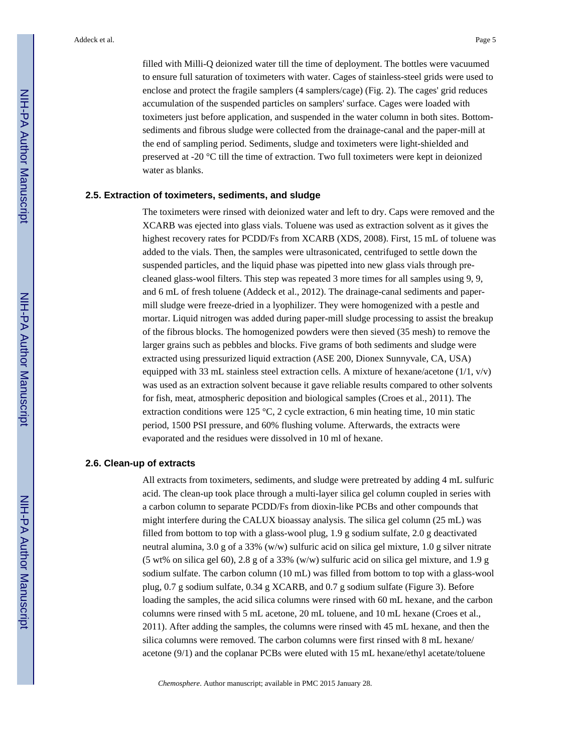filled with Milli-Q deionized water till the time of deployment. The bottles were vacuumed to ensure full saturation of toximeters with water. Cages of stainless-steel grids were used to enclose and protect the fragile samplers (4 samplers/cage) (Fig. 2). The cages' grid reduces accumulation of the suspended particles on samplers' surface. Cages were loaded with toximeters just before application, and suspended in the water column in both sites. Bottomsediments and fibrous sludge were collected from the drainage-canal and the paper-mill at the end of sampling period. Sediments, sludge and toximeters were light-shielded and preserved at -20 °C till the time of extraction. Two full toximeters were kept in deionized water as blanks.

#### **2.5. Extraction of toximeters, sediments, and sludge**

The toximeters were rinsed with deionized water and left to dry. Caps were removed and the XCARB was ejected into glass vials. Toluene was used as extraction solvent as it gives the highest recovery rates for PCDD/Fs from XCARB (XDS, 2008). First, 15 mL of toluene was added to the vials. Then, the samples were ultrasonicated, centrifuged to settle down the suspended particles, and the liquid phase was pipetted into new glass vials through precleaned glass-wool filters. This step was repeated 3 more times for all samples using 9, 9, and 6 mL of fresh toluene (Addeck et al., 2012). The drainage-canal sediments and papermill sludge were freeze-dried in a lyophilizer. They were homogenized with a pestle and mortar. Liquid nitrogen was added during paper-mill sludge processing to assist the breakup of the fibrous blocks. The homogenized powders were then sieved (35 mesh) to remove the larger grains such as pebbles and blocks. Five grams of both sediments and sludge were extracted using pressurized liquid extraction (ASE 200, Dionex Sunnyvale, CA, USA) equipped with 33 mL stainless steel extraction cells. A mixture of hexane/acetone  $(1/1, v/v)$ was used as an extraction solvent because it gave reliable results compared to other solvents for fish, meat, atmospheric deposition and biological samples (Croes et al., 2011). The extraction conditions were 125 °C, 2 cycle extraction, 6 min heating time, 10 min static period, 1500 PSI pressure, and 60% flushing volume. Afterwards, the extracts were evaporated and the residues were dissolved in 10 ml of hexane.

#### **2.6. Clean-up of extracts**

All extracts from toximeters, sediments, and sludge were pretreated by adding 4 mL sulfuric acid. The clean-up took place through a multi-layer silica gel column coupled in series with a carbon column to separate PCDD/Fs from dioxin-like PCBs and other compounds that might interfere during the CALUX bioassay analysis. The silica gel column (25 mL) was filled from bottom to top with a glass-wool plug, 1.9 g sodium sulfate, 2.0 g deactivated neutral alumina, 3.0 g of a 33% (w/w) sulfuric acid on silica gel mixture, 1.0 g silver nitrate (5 wt% on silica gel 60), 2.8 g of a 33% (w/w) sulfuric acid on silica gel mixture, and 1.9 g sodium sulfate. The carbon column (10 mL) was filled from bottom to top with a glass-wool plug, 0.7 g sodium sulfate, 0.34 g XCARB, and 0.7 g sodium sulfate (Figure 3). Before loading the samples, the acid silica columns were rinsed with 60 mL hexane, and the carbon columns were rinsed with 5 mL acetone, 20 mL toluene, and 10 mL hexane (Croes et al., 2011). After adding the samples, the columns were rinsed with 45 mL hexane, and then the silica columns were removed. The carbon columns were first rinsed with 8 mL hexane/ acetone (9/1) and the coplanar PCBs were eluted with 15 mL hexane/ethyl acetate/toluene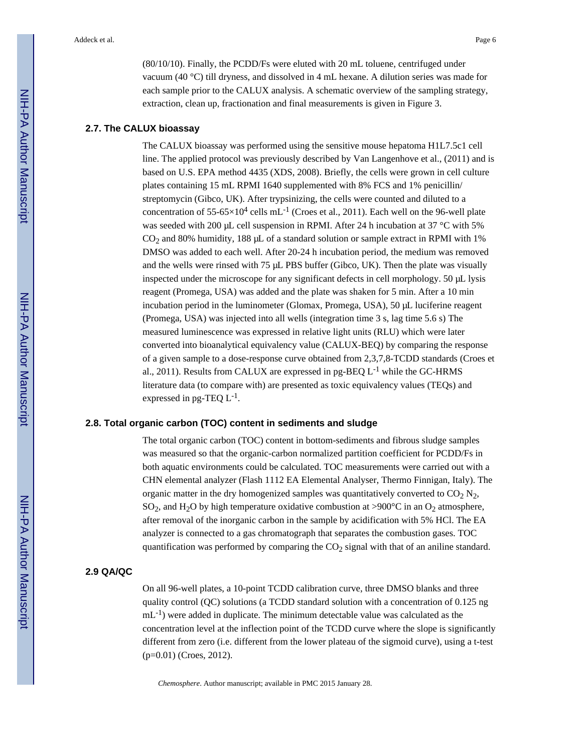(80/10/10). Finally, the PCDD/Fs were eluted with 20 mL toluene, centrifuged under vacuum (40 °C) till dryness, and dissolved in 4 mL hexane. A dilution series was made for each sample prior to the CALUX analysis. A schematic overview of the sampling strategy, extraction, clean up, fractionation and final measurements is given in Figure 3.

#### **2.7. The CALUX bioassay**

The CALUX bioassay was performed using the sensitive mouse hepatoma H1L7.5c1 cell line. The applied protocol was previously described by Van Langenhove et al., (2011) and is based on U.S. EPA method 4435 (XDS, 2008). Briefly, the cells were grown in cell culture plates containing 15 mL RPMI 1640 supplemented with 8% FCS and 1% penicillin/ streptomycin (Gibco, UK). After trypsinizing, the cells were counted and diluted to a concentration of 55-65 $\times$ 10<sup>4</sup> cells mL<sup>-1</sup> (Croes et al., 2011). Each well on the 96-well plate was seeded with 200 μL cell suspension in RPMI. After 24 h incubation at 37 °C with 5%  $CO<sub>2</sub>$  and 80% humidity, 188  $\mu$ L of a standard solution or sample extract in RPMI with 1% DMSO was added to each well. After 20-24 h incubation period, the medium was removed and the wells were rinsed with 75 μL PBS buffer (Gibco, UK). Then the plate was visually inspected under the microscope for any significant defects in cell morphology. 50 μL lysis reagent (Promega, USA) was added and the plate was shaken for 5 min. After a 10 min incubation period in the luminometer (Glomax, Promega, USA), 50 μL luciferine reagent (Promega, USA) was injected into all wells (integration time 3 s, lag time 5.6 s) The measured luminescence was expressed in relative light units (RLU) which were later converted into bioanalytical equivalency value (CALUX-BEQ) by comparing the response of a given sample to a dose-response curve obtained from 2,3,7,8-TCDD standards (Croes et al., 2011). Results from CALUX are expressed in pg-BEQ  $L^{-1}$  while the GC-HRMS literature data (to compare with) are presented as toxic equivalency values (TEQs) and expressed in pg-TEQ  $L^{-1}$ .

#### **2.8. Total organic carbon (TOC) content in sediments and sludge**

The total organic carbon (TOC) content in bottom-sediments and fibrous sludge samples was measured so that the organic-carbon normalized partition coefficient for PCDD/Fs in both aquatic environments could be calculated. TOC measurements were carried out with a CHN elemental analyzer (Flash 1112 EA Elemental Analyser, Thermo Finnigan, Italy). The organic matter in the dry homogenized samples was quantitatively converted to  $CO<sub>2</sub>$  N<sub>2</sub>, SO<sub>2</sub>, and H<sub>2</sub>O by high temperature oxidative combustion at >900°C in an O<sub>2</sub> atmosphere, after removal of the inorganic carbon in the sample by acidification with 5% HCl. The EA analyzer is connected to a gas chromatograph that separates the combustion gases. TOC quantification was performed by comparing the  $CO<sub>2</sub>$  signal with that of an aniline standard.

#### **2.9 QA/QC**

On all 96-well plates, a 10-point TCDD calibration curve, three DMSO blanks and three quality control (QC) solutions (a TCDD standard solution with a concentration of 0.125 ng  $mL^{-1}$ ) were added in duplicate. The minimum detectable value was calculated as the concentration level at the inflection point of the TCDD curve where the slope is significantly different from zero (i.e. different from the lower plateau of the sigmoid curve), using a t-test (p=0.01) (Croes, 2012).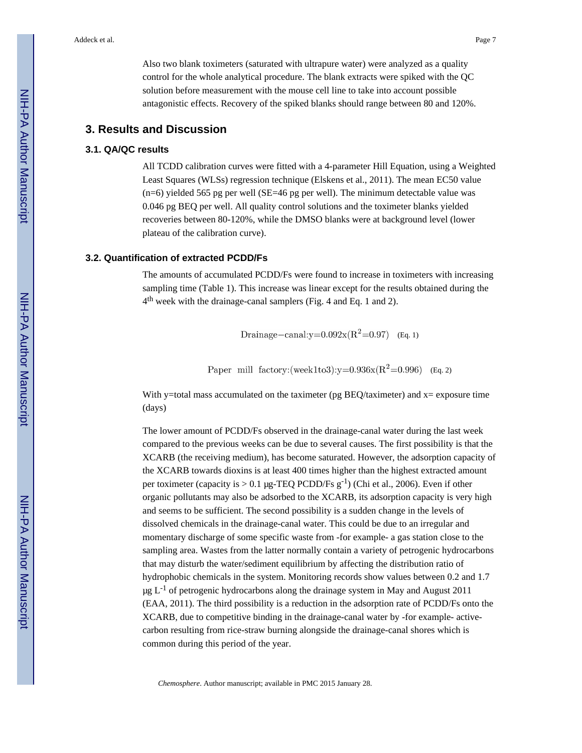Also two blank toximeters (saturated with ultrapure water) were analyzed as a quality control for the whole analytical procedure. The blank extracts were spiked with the QC solution before measurement with the mouse cell line to take into account possible antagonistic effects. Recovery of the spiked blanks should range between 80 and 120%.

#### **3. Results and Discussion**

#### **3.1. QA/QC results**

All TCDD calibration curves were fitted with a 4-parameter Hill Equation, using a Weighted Least Squares (WLSs) regression technique (Elskens et al., 2011). The mean EC50 value (n=6) yielded 565 pg per well (SE=46 pg per well). The minimum detectable value was 0.046 pg BEQ per well. All quality control solutions and the toximeter blanks yielded recoveries between 80-120%, while the DMSO blanks were at background level (lower plateau of the calibration curve).

#### **3.2. Quantification of extracted PCDD/Fs**

The amounts of accumulated PCDD/Fs were found to increase in toximeters with increasing sampling time (Table 1). This increase was linear except for the results obtained during the 4<sup>th</sup> week with the drainage-canal samplers (Fig. 4 and Eq. 1 and 2).

Drainage-canal:y= $0.092x(R^2=0.97)$  (Eq. 1)

Paper mill factory: (week1to3):  $y=0.936x(R^2=0.996)$  (Eq. 2)

With y=total mass accumulated on the taximeter (pg BEQ/taximeter) and  $x=$  exposure time (days)

The lower amount of PCDD/Fs observed in the drainage-canal water during the last week compared to the previous weeks can be due to several causes. The first possibility is that the XCARB (the receiving medium), has become saturated. However, the adsorption capacity of the XCARB towards dioxins is at least 400 times higher than the highest extracted amount per toximeter (capacity is  $> 0.1$  µg-TEQ PCDD/Fs g<sup>-1</sup>) (Chi et al., 2006). Even if other organic pollutants may also be adsorbed to the XCARB, its adsorption capacity is very high and seems to be sufficient. The second possibility is a sudden change in the levels of dissolved chemicals in the drainage-canal water. This could be due to an irregular and momentary discharge of some specific waste from -for example- a gas station close to the sampling area. Wastes from the latter normally contain a variety of petrogenic hydrocarbons that may disturb the water/sediment equilibrium by affecting the distribution ratio of hydrophobic chemicals in the system. Monitoring records show values between 0.2 and 1.7 μg  $L^{-1}$  of petrogenic hydrocarbons along the drainage system in May and August 2011 (EAA, 2011). The third possibility is a reduction in the adsorption rate of PCDD/Fs onto the XCARB, due to competitive binding in the drainage-canal water by -for example- activecarbon resulting from rice-straw burning alongside the drainage-canal shores which is common during this period of the year.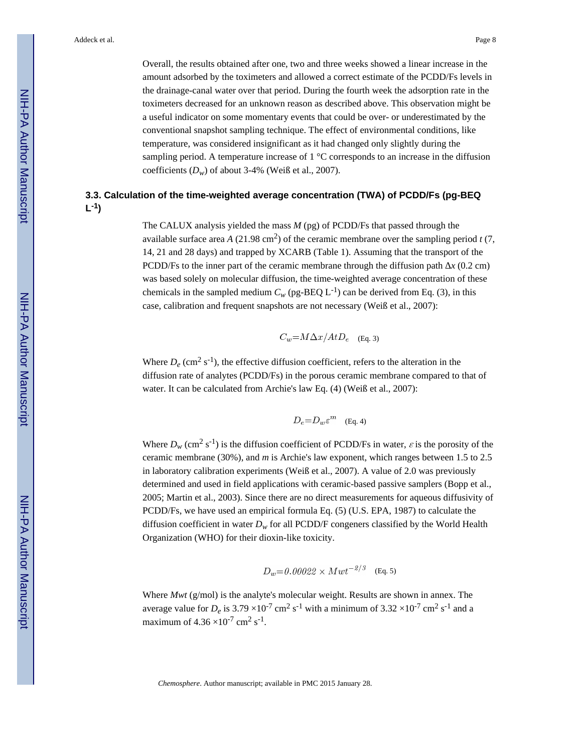Overall, the results obtained after one, two and three weeks showed a linear increase in the amount adsorbed by the toximeters and allowed a correct estimate of the PCDD/Fs levels in the drainage-canal water over that period. During the fourth week the adsorption rate in the toximeters decreased for an unknown reason as described above. This observation might be a useful indicator on some momentary events that could be over- or underestimated by the conventional snapshot sampling technique. The effect of environmental conditions, like temperature, was considered insignificant as it had changed only slightly during the sampling period. A temperature increase of 1 °C corresponds to an increase in the diffusion coefficients  $(D_w)$  of about 3-4% (Weiß et al., 2007).

# **3.3. Calculation of the time-weighted average concentration (TWA) of PCDD/Fs (pg-BEQ L -1)**

The CALUX analysis yielded the mass *M* (pg) of PCDD/Fs that passed through the available surface area *A* (21.98 cm<sup>2</sup>) of the ceramic membrane over the sampling period  $t(7, 7)$ 14, 21 and 28 days) and trapped by XCARB (Table 1). Assuming that the transport of the PCDD/Fs to the inner part of the ceramic membrane through the diffusion path  $\chi$  (0.2 cm) was based solely on molecular diffusion, the time-weighted average concentration of these chemicals in the sampled medium  $C_w$  (pg-BEQ L<sup>-1</sup>) can be derived from Eq. (3), in this case, calibration and frequent snapshots are not necessary (Weiß et al., 2007):

$$
C_w = M\Delta x/AtD_e \quad \text{(Eq. 3)}
$$

Where  $D_e$  (cm<sup>2</sup> s<sup>-1</sup>), the effective diffusion coefficient, refers to the alteration in the diffusion rate of analytes (PCDD/Fs) in the porous ceramic membrane compared to that of water. It can be calculated from Archie's law Eq. (4) (Weiß et al., 2007):

$$
D_e = D_w \varepsilon^m \quad \text{(Eq. 4)}
$$

Where  $D_w$  (cm<sup>2</sup> s<sup>-1</sup>) is the diffusion coefficient of PCDD/Fs in water,  $\varepsilon$  is the porosity of the ceramic membrane (30%), and *m* is Archie's law exponent, which ranges between 1.5 to 2.5 in laboratory calibration experiments (Weiß et al., 2007). A value of 2.0 was previously determined and used in field applications with ceramic-based passive samplers (Bopp et al., 2005; Martin et al., 2003). Since there are no direct measurements for aqueous diffusivity of PCDD/Fs, we have used an empirical formula Eq. (5) (U.S. EPA, 1987) to calculate the diffusion coefficient in water  $D_w$  for all PCDD/F congeners classified by the World Health Organization (WHO) for their dioxin-like toxicity.

$$
D_w=0.00022 \times Mwt^{-2/3}
$$
 (Eq. 5)

Where *Mwt* (g/mol) is the analyte's molecular weight. Results are shown in annex. The average value for  $D_e$  is 3.79  $\times 10^{-7}$  cm<sup>2</sup> s<sup>-1</sup> with a minimum of 3.32  $\times 10^{-7}$  cm<sup>2</sup> s<sup>-1</sup> and a maximum of  $4.36 \times 10^{-7}$  cm<sup>2</sup> s<sup>-1</sup>.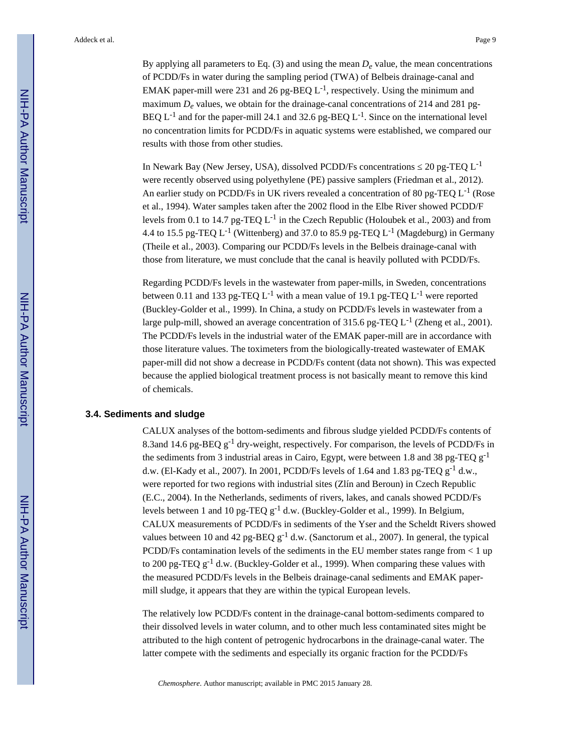By applying all parameters to Eq.  $(3)$  and using the mean  $D_e$  value, the mean concentrations of PCDD/Fs in water during the sampling period (TWA) of Belbeis drainage-canal and EMAK paper-mill were 231 and 26 pg-BEQ  $L^{-1}$ , respectively. Using the minimum and maximum  $D_e$  values, we obtain for the drainage-canal concentrations of 214 and 281 pg-BEQ  $L^{-1}$  and for the paper-mill 24.1 and 32.6 pg-BEQ  $L^{-1}$ . Since on the international level no concentration limits for PCDD/Fs in aquatic systems were established, we compared our results with those from other studies.

In Newark Bay (New Jersey, USA), dissolved PCDD/Fs concentrations  $20 \text{ pg-TEQ } L^{-1}$ were recently observed using polyethylene (PE) passive samplers (Friedman et al., 2012). An earlier study on PCDD/Fs in UK rivers revealed a concentration of 80 pg-TEQ L<sup>-1</sup> (Rose et al., 1994). Water samples taken after the 2002 flood in the Elbe River showed PCDD/F levels from 0.1 to 14.7 pg-TEQ L-1 in the Czech Republic (Holoubek et al., 2003) and from 4.4 to 15.5 pg-TEQ L<sup>-1</sup> (Wittenberg) and 37.0 to 85.9 pg-TEQ L<sup>-1</sup> (Magdeburg) in Germany (Theile et al., 2003). Comparing our PCDD/Fs levels in the Belbeis drainage-canal with those from literature, we must conclude that the canal is heavily polluted with PCDD/Fs.

Regarding PCDD/Fs levels in the wastewater from paper-mills, in Sweden, concentrations between 0.11 and 133 pg-TEQ L<sup>-1</sup> with a mean value of 19.1 pg-TEQ L<sup>-1</sup> were reported (Buckley-Golder et al., 1999). In China, a study on PCDD/Fs levels in wastewater from a large pulp-mill, showed an average concentration of 315.6 pg-TEQ  $L^{-1}$  (Zheng et al., 2001). The PCDD/Fs levels in the industrial water of the EMAK paper-mill are in accordance with those literature values. The toximeters from the biologically-treated wastewater of EMAK paper-mill did not show a decrease in PCDD/Fs content (data not shown). This was expected because the applied biological treatment process is not basically meant to remove this kind of chemicals.

#### **3.4. Sediments and sludge**

CALUX analyses of the bottom-sediments and fibrous sludge yielded PCDD/Fs contents of 8.3and 14.6 pg-BEQ  $g^{-1}$  dry-weight, respectively. For comparison, the levels of PCDD/Fs in the sediments from 3 industrial areas in Cairo, Egypt, were between 1.8 and 38 pg-TEQ  $g^{-1}$ d.w. (El-Kady et al., 2007). In 2001, PCDD/Fs levels of 1.64 and 1.83 pg-TEQ  $g^{-1}$  d.w., were reported for two regions with industrial sites (Zlín and Beroun) in Czech Republic (E.C., 2004). In the Netherlands, sediments of rivers, lakes, and canals showed PCDD/Fs levels between 1 and 10 pg-TEQ  $g^{-1}$  d.w. (Buckley-Golder et al., 1999). In Belgium, CALUX measurements of PCDD/Fs in sediments of the Yser and the Scheldt Rivers showed values between 10 and 42 pg-BEQ  $g^{-1}$  d.w. (Sanctorum et al., 2007). In general, the typical PCDD/Fs contamination levels of the sediments in the EU member states range from < 1 up to 200 pg-TEQ  $g^{-1}$  d.w. (Buckley-Golder et al., 1999). When comparing these values with the measured PCDD/Fs levels in the Belbeis drainage-canal sediments and EMAK papermill sludge, it appears that they are within the typical European levels.

The relatively low PCDD/Fs content in the drainage-canal bottom-sediments compared to their dissolved levels in water column, and to other much less contaminated sites might be attributed to the high content of petrogenic hydrocarbons in the drainage-canal water. The latter compete with the sediments and especially its organic fraction for the PCDD/Fs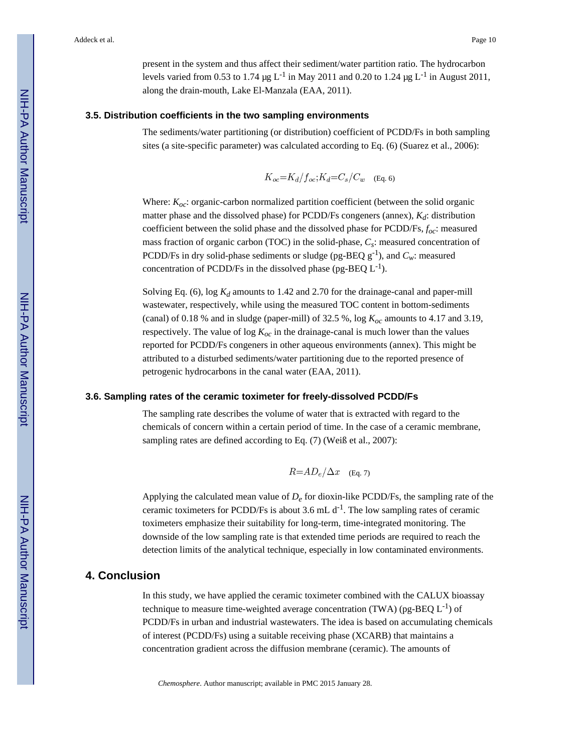present in the system and thus affect their sediment/water partition ratio. The hydrocarbon levels varied from 0.53 to 1.74 μg L<sup>-1</sup> in May 2011 and 0.20 to 1.24 μg L<sup>-1</sup> in August 2011, along the drain-mouth, Lake El-Manzala (EAA, 2011).

#### **3.5. Distribution coefficients in the two sampling environments**

The sediments/water partitioning (or distribution) coefficient of PCDD/Fs in both sampling sites (a site-specific parameter) was calculated according to Eq. (6) (Suarez et al., 2006):

$$
K_{oc} = K_d / f_{oc}; K_d = C_s / C_w
$$
 (Eq. 6)

Where: *Koc*: organic-carbon normalized partition coefficient (between the solid organic matter phase and the dissolved phase) for PCDD/Fs congeners (annex), *Kd*: distribution coefficient between the solid phase and the dissolved phase for PCDD/Fs, *foc*: measured mass fraction of organic carbon (TOC) in the solid-phase, *C<sup>s</sup>* : measured concentration of PCDD/Fs in dry solid-phase sediments or sludge (pg-BEQ  $g^{-1}$ ), and  $C_w$ : measured concentration of PCDD/Fs in the dissolved phase (pg-BEQ  $L^{-1}$ ).

Solving Eq. (6), log *Kd* amounts to 1.42 and 2.70 for the drainage-canal and paper-mill wastewater, respectively, while using the measured TOC content in bottom-sediments (canal) of 0.18 % and in sludge (paper-mill) of 32.5 %, log *Koc* amounts to 4.17 and 3.19, respectively. The value of  $\log K_{oc}$  in the drainage-canal is much lower than the values reported for PCDD/Fs congeners in other aqueous environments (annex). This might be attributed to a disturbed sediments/water partitioning due to the reported presence of petrogenic hydrocarbons in the canal water (EAA, 2011).

#### **3.6. Sampling rates of the ceramic toximeter for freely-dissolved PCDD/Fs**

The sampling rate describes the volume of water that is extracted with regard to the chemicals of concern within a certain period of time. In the case of a ceramic membrane, sampling rates are defined according to Eq. (7) (Weiß et al., 2007):

$$
R = AD_e / \Delta x \quad \text{(Eq. 7)}
$$

Applying the calculated mean value of  $D_e$  for dioxin-like PCDD/Fs, the sampling rate of the ceramic toximeters for PCDD/Fs is about 3.6 mL  $d^{-1}$ . The low sampling rates of ceramic toximeters emphasize their suitability for long-term, time-integrated monitoring. The downside of the low sampling rate is that extended time periods are required to reach the detection limits of the analytical technique, especially in low contaminated environments.

# **4. Conclusion**

In this study, we have applied the ceramic toximeter combined with the CALUX bioassay technique to measure time-weighted average concentration (TWA) (pg-BEQ  $L^{-1}$ ) of PCDD/Fs in urban and industrial wastewaters. The idea is based on accumulating chemicals of interest (PCDD/Fs) using a suitable receiving phase (XCARB) that maintains a concentration gradient across the diffusion membrane (ceramic). The amounts of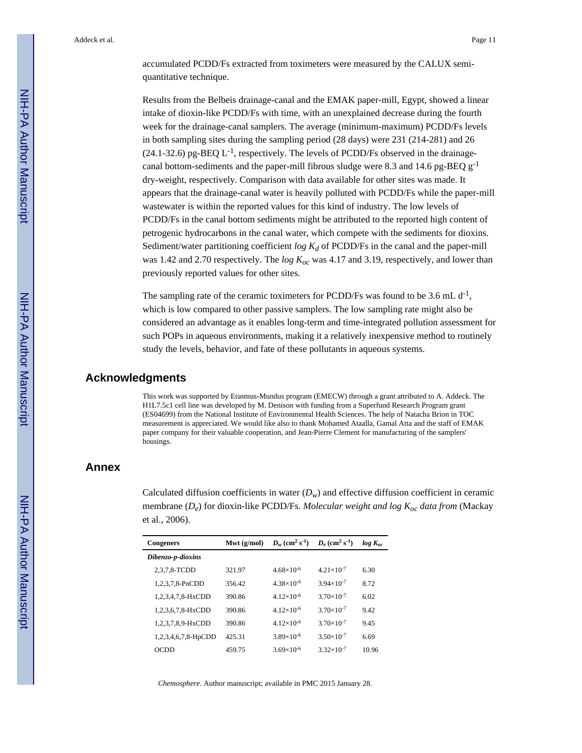accumulated PCDD/Fs extracted from toximeters were measured by the CALUX semiquantitative technique.

Results from the Belbeis drainage-canal and the EMAK paper-mill, Egypt, showed a linear intake of dioxin-like PCDD/Fs with time, with an unexplained decrease during the fourth week for the drainage-canal samplers. The average (minimum-maximum) PCDD/Fs levels in both sampling sites during the sampling period (28 days) were 231 (214-281) and 26  $(24.1-32.6)$  pg-BEQ L<sup>-1</sup>, respectively. The levels of PCDD/Fs observed in the drainagecanal bottom-sediments and the paper-mill fibrous sludge were 8.3 and 14.6 pg-BEQ  $g^{-1}$ dry-weight, respectively. Comparison with data available for other sites was made. It appears that the drainage-canal water is heavily polluted with PCDD/Fs while the paper-mill wastewater is within the reported values for this kind of industry. The low levels of PCDD/Fs in the canal bottom sediments might be attributed to the reported high content of petrogenic hydrocarbons in the canal water, which compete with the sediments for dioxins. Sediment/water partitioning coefficient *log Kd* of PCDD/Fs in the canal and the paper-mill was 1.42 and 2.70 respectively. The *log Koc* was 4.17 and 3.19, respectively, and lower than previously reported values for other sites.

The sampling rate of the ceramic toximeters for PCDD/Fs was found to be 3.6 mL  $d^{-1}$ , which is low compared to other passive samplers. The low sampling rate might also be considered an advantage as it enables long-term and time-integrated pollution assessment for such POPs in aqueous environments, making it a relatively inexpensive method to routinely study the levels, behavior, and fate of these pollutants in aqueous systems.

#### **Acknowledgments**

This work was supported by Erasmus-Mundus program (EMECW) through a grant attributed to A. Addeck. The H1L7.5c1 cell line was developed by M. Denison with funding from a Superfund Research Program grant (ES04699) from the National Institute of Environmental Health Sciences. The help of Natacha Brion in TOC measurement is appreciated. We would like also to thank Mohamed Ataalla, Gamal Atta and the staff of EMAK paper company for their valuable cooperation, and Jean-Pierre Clement for manufacturing of the samplers' housings.

# **Annex**

Calculated diffusion coefficients in water  $(D_w)$  and effective diffusion coefficient in ceramic membrane (*D<sup>e</sup>* ) for dioxin-like PCDD/Fs. *Molecular weight and log Koc data from* (Mackay et al., 2006).

| <b>Congeners</b>    | Mwt $(g/mol)$ | $D_w$ (cm <sup>2</sup> s <sup>-1</sup> ) | $D_e$ (cm <sup>2</sup> s <sup>-1</sup> ) | $log K_{oc}$ |
|---------------------|---------------|------------------------------------------|------------------------------------------|--------------|
| Dibenzo-p-dioxins   |               |                                          |                                          |              |
| 2,3,7,8-TCDD        | 321.97        | $4.68\times10^{-6}$                      | $4.21 \times 10^{-7}$                    | 6.30         |
| 1,2,3,7,8-PnCDD     | 356.42        | $4.38 \times 10^{-6}$                    | $3.94 \times 10^{-7}$                    | 8.72         |
| 1,2,3,4,7,8-HxCDD   | 390.86        | $4.12\times10^{-6}$                      | $3.70\times10^{-7}$                      | 6.02         |
| 1,2,3,6,7,8-HxCDD   | 390.86        | $4.12\times10^{-6}$                      | $3.70\times10^{-7}$                      | 9.42         |
| 1,2,3,7,8,9-HxCDD   | 390.86        | $4.12\times10^{-6}$                      | $3.70\times10^{-7}$                      | 9.45         |
| 1,2,3,4,6,7,8-HpCDD | 425.31        | $3.89\times10^{-6}$                      | $3.50\times10^{-7}$                      | 6.69         |
| OCDD                | 459.75        | $3.69\times10^{-6}$                      | $3.32\times10^{-7}$                      | 10.96        |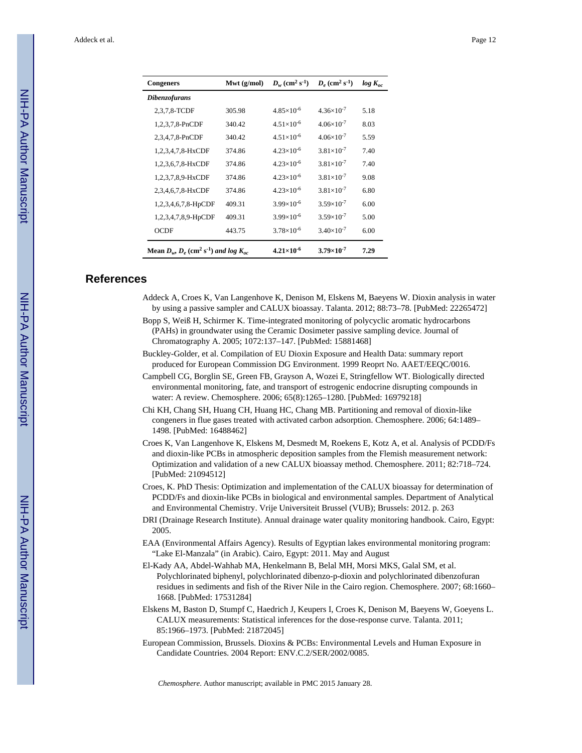| <b>Congeners</b>                                                       | Mwt $(g/mol)$ | $D_w$ (cm <sup>2</sup> s <sup>-1</sup> ) | $D_e$ (cm <sup>2</sup> s <sup>-1</sup> ) | $log K_{oc}$ |
|------------------------------------------------------------------------|---------------|------------------------------------------|------------------------------------------|--------------|
| <b>Dibenzofurans</b>                                                   |               |                                          |                                          |              |
| 2,3,7,8-TCDF                                                           | 305.98        | $4.85 \times 10^{-6}$                    | $4.36\times10^{-7}$                      | 5.18         |
| 1,2,3,7,8-PnCDF                                                        | 340.42        | $4.51\times10^{-6}$                      | $4.06\times10^{-7}$                      | 8.03         |
| 2,3,4,7,8-PnCDF                                                        | 340.42        | $4.51\times10^{-6}$                      | $4.06\times10^{-7}$                      | 5.59         |
| 1,2,3,4,7,8-HxCDF                                                      | 374.86        | $4.23\times10^{-6}$                      | $3.81\times10^{-7}$                      | 7.40         |
| 1,2,3,6,7,8-HxCDF                                                      | 374.86        | $4.23\times10^{-6}$                      | $3.81\times10^{-7}$                      | 7.40         |
| 1,2,3,7,8,9-HxCDF                                                      | 374.86        | $4.23\times10^{-6}$                      | $3.81\times10^{-7}$                      | 9.08         |
| 2,3,4,6,7,8-HxCDF                                                      | 374.86        | $4.23\times10^{-6}$                      | $3.81\times10^{-7}$                      | 6.80         |
| 1,2,3,4,6,7,8-HpCDF                                                    | 409.31        | $3.99\times10^{-6}$                      | $3.59 \times 10^{-7}$                    | 6.00         |
| 1,2,3,4,7,8,9-HpCDF                                                    | 409.31        | $3.99\times10^{-6}$                      | $3.59 \times 10^{-7}$                    | 5.00         |
| OCDF                                                                   | 443.75        | $3.78\times10^{-6}$                      | $3.40\times10^{-7}$                      | 6.00         |
| Mean $D_w$ , $D_e$ (cm <sup>2</sup> s <sup>-1</sup> ) and log $K_{ac}$ |               | $4.21\times10^{-6}$                      | $3.79\times10^{-7}$                      | 7.29         |

#### **References**

- Addeck A, Croes K, Van Langenhove K, Denison M, Elskens M, Baeyens W. Dioxin analysis in water by using a passive sampler and CALUX bioassay. Talanta. 2012; 88:73–78. [PubMed: 22265472]
- Bopp S, Weiß H, Schirmer K. Time-integrated monitoring of polycyclic aromatic hydrocarbons (PAHs) in groundwater using the Ceramic Dosimeter passive sampling device. Journal of Chromatography A. 2005; 1072:137–147. [PubMed: 15881468]
- Buckley-Golder, et al. Compilation of EU Dioxin Exposure and Health Data: summary report produced for European Commission DG Environment. 1999 Reoprt No. AAET/EEQC/0016.
- Campbell CG, Borglin SE, Green FB, Grayson A, Wozei E, Stringfellow WT. Biologically directed environmental monitoring, fate, and transport of estrogenic endocrine disrupting compounds in water: A review. Chemosphere. 2006; 65(8):1265–1280. [PubMed: 16979218]
- Chi KH, Chang SH, Huang CH, Huang HC, Chang MB. Partitioning and removal of dioxin-like congeners in flue gases treated with activated carbon adsorption. Chemosphere. 2006; 64:1489– 1498. [PubMed: 16488462]
- Croes K, Van Langenhove K, Elskens M, Desmedt M, Roekens E, Kotz A, et al. Analysis of PCDD/Fs and dioxin-like PCBs in atmospheric deposition samples from the Flemish measurement network: Optimization and validation of a new CALUX bioassay method. Chemosphere. 2011; 82:718–724. [PubMed: 21094512]
- Croes, K. PhD Thesis: Optimization and implementation of the CALUX bioassay for determination of PCDD/Fs and dioxin-like PCBs in biological and environmental samples. Department of Analytical and Environmental Chemistry. Vrije Universiteit Brussel (VUB); Brussels: 2012. p. 263
- DRI (Drainage Research Institute). Annual drainage water quality monitoring handbook. Cairo, Egypt: 2005.
- EAA (Environmental Affairs Agency). Results of Egyptian lakes environmental monitoring program: "Lake El-Manzala" (in Arabic). Cairo, Egypt: 2011. May and August
- El-Kady AA, Abdel-Wahhab MA, Henkelmann B, Belal MH, Morsi MKS, Galal SM, et al. Polychlorinated biphenyl, polychlorinated dibenzo-p-dioxin and polychlorinated dibenzofuran residues in sediments and fish of the River Nile in the Cairo region. Chemosphere. 2007; 68:1660– 1668. [PubMed: 17531284]
- Elskens M, Baston D, Stumpf C, Haedrich J, Keupers I, Croes K, Denison M, Baeyens W, Goeyens L. CALUX measurements: Statistical inferences for the dose-response curve. Talanta. 2011; 85:1966–1973. [PubMed: 21872045]
- European Commission, Brussels. Dioxins & PCBs: Environmental Levels and Human Exposure in Candidate Countries. 2004 Report: ENV.C.2/SER/2002/0085.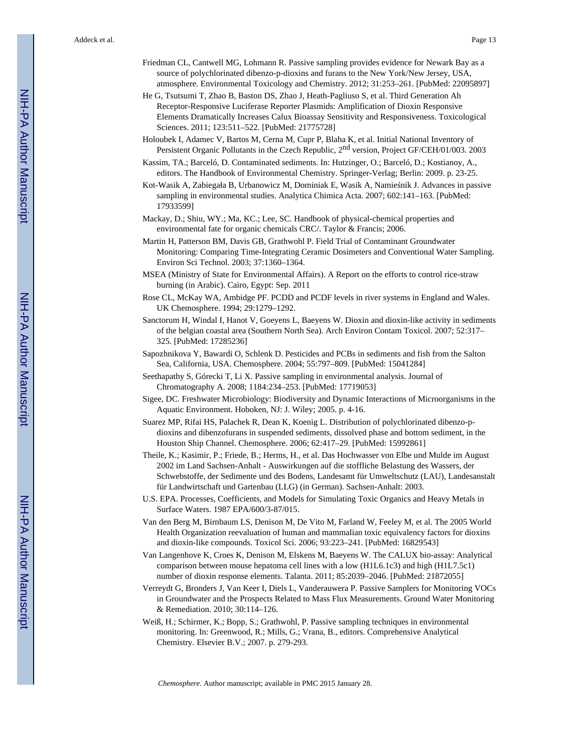- Friedman CL, Cantwell MG, Lohmann R. Passive sampling provides evidence for Newark Bay as a source of polychlorinated dibenzo-p-dioxins and furans to the New York/New Jersey, USA, atmosphere. Environmental Toxicology and Chemistry. 2012; 31:253–261. [PubMed: 22095897]
- He G, Tsutsumi T, Zhao B, Baston DS, Zhao J, Heath-Pagliuso S, et al. Third Generation Ah Receptor-Responsive Luciferase Reporter Plasmids: Amplification of Dioxin Responsive Elements Dramatically Increases Calux Bioassay Sensitivity and Responsiveness. Toxicological Sciences. 2011; 123:511–522. [PubMed: 21775728]
- Holoubek I, Adamec V, Bartos M, Cerna M, Cupr P, Blaha K, et al. Initial National Inventory of Persistent Organic Pollutants in the Czech Republic, 2nd version, Project GF/CEH/01/003. 2003
- Kassim, TA.; Barceló, D. Contaminated sediments. In: Hutzinger, O.; Barceló, D.; Kostianoy, A., editors. The Handbook of Environmental Chemistry. Springer-Verlag; Berlin: 2009. p. 23-25.
- Kot-Wasik A, Zabiegała B, Urbanowicz M, Dominiak E, Wasik A, Namie nik J. Advances in passive sampling in environmental studies. Analytica Chimica Acta. 2007; 602:141–163. [PubMed: 17933599]
- Mackay, D.; Shiu, WY.; Ma, KC.; Lee, SC. Handbook of physical-chemical properties and environmental fate for organic chemicals CRC/. Taylor & Francis; 2006.
- Martin H, Patterson BM, Davis GB, Grathwohl P. Field Trial of Contaminant Groundwater Monitoring: Comparing Time-Integrating Ceramic Dosimeters and Conventional Water Sampling. Environ Sci Technol. 2003; 37:1360–1364.
- MSEA (Ministry of State for Environmental Affairs). A Report on the efforts to control rice-straw burning (in Arabic). Cairo, Egypt: Sep. 2011
- Rose CL, McKay WA, Ambidge PF. PCDD and PCDF levels in river systems in England and Wales. UK Chemosphere. 1994; 29:1279–1292.
- Sanctorum H, Windal I, Hanot V, Goeyens L, Baeyens W. Dioxin and dioxin-like activity in sediments of the belgian coastal area (Southern North Sea). Arch Environ Contam Toxicol. 2007; 52:317– 325. [PubMed: 17285236]
- Sapozhnikova Y, Bawardi O, Schlenk D. Pesticides and PCBs in sediments and fish from the Salton Sea, California, USA. Chemosphere. 2004; 55:797–809. [PubMed: 15041284]
- Seethapathy S, Górecki T, Li X. Passive sampling in environmental analysis. Journal of Chromatography A. 2008; 1184:234–253. [PubMed: 17719053]
- Sigee, DC. Freshwater Microbiology: Biodiversity and Dynamic Interactions of Microorganisms in the Aquatic Environment. Hoboken, NJ: J. Wiley; 2005. p. 4-16.
- Suarez MP, Rifai HS, Palachek R, Dean K, Koenig L. Distribution of polychlorinated dibenzo-pdioxins and dibenzofurans in suspended sediments, dissolved phase and bottom sediment, in the Houston Ship Channel. Chemosphere. 2006; 62:417–29. [PubMed: 15992861]
- Theile, K.; Kasimir, P.; Friede, B.; Herms, H., et al. Das Hochwasser von Elbe und Mulde im August 2002 im Land Sachsen-Anhalt - Auswirkungen auf die stoffliche Belastung des Wassers, der Schwebstoffe, der Sedimente und des Bodens, Landesamt für Umweltschutz (LAU), Landesanstalt für Landwirtschaft und Gartenbau (LLG) (in German). Sachsen-Anhalt: 2003.
- U.S. EPA. Processes, Coefficients, and Models for Simulating Toxic Organics and Heavy Metals in Surface Waters. 1987 EPA/600/3-87/015.
- Van den Berg M, Birnbaum LS, Denison M, De Vito M, Farland W, Feeley M, et al. The 2005 World Health Organization reevaluation of human and mammalian toxic equivalency factors for dioxins and dioxin-like compounds. Toxicol Sci. 2006; 93:223–241. [PubMed: 16829543]
- Van Langenhove K, Croes K, Denison M, Elskens M, Baeyens W. The CALUX bio-assay: Analytical comparison between mouse hepatoma cell lines with a low (H1L6.1c3) and high (H1L7.5c1) number of dioxin response elements. Talanta. 2011; 85:2039–2046. [PubMed: 21872055]
- Verreydt G, Bronders J, Van Keer I, Diels L, Vanderauwera P. Passive Samplers for Monitoring VOCs in Groundwater and the Prospects Related to Mass Flux Measurements. Ground Water Monitoring & Remediation. 2010; 30:114–126.
- Weiß, H.; Schirmer, K.; Bopp, S.; Grathwohl, P. Passive sampling techniques in environmental monitoring. In: Greenwood, R.; Mills, G.; Vrana, B., editors. Comprehensive Analytical Chemistry. Elsevier B.V.; 2007. p. 279-293.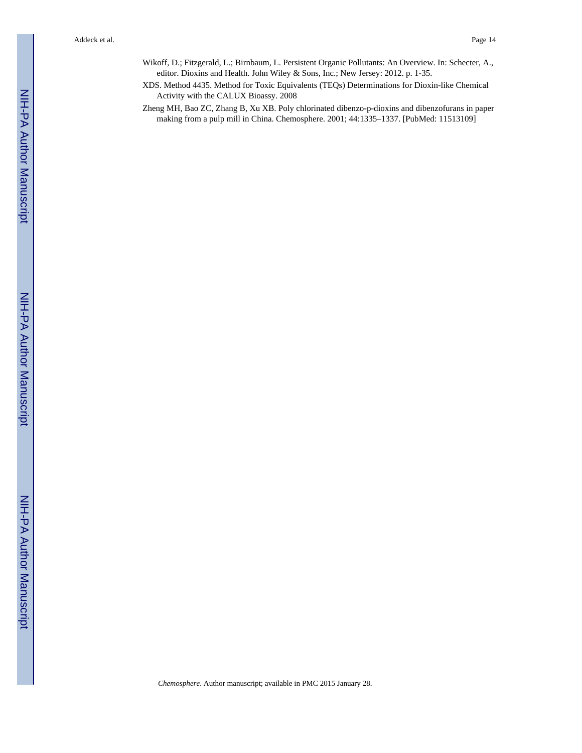- Wikoff, D.; Fitzgerald, L.; Birnbaum, L. Persistent Organic Pollutants: An Overview. In: Schecter, A., editor. Dioxins and Health. John Wiley & Sons, Inc.; New Jersey: 2012. p. 1-35.
- XDS. Method 4435. Method for Toxic Equivalents (TEQs) Determinations for Dioxin-like Chemical Activity with the CALUX Bioassy. 2008
- Zheng MH, Bao ZC, Zhang B, Xu XB. Poly chlorinated dibenzo-p-dioxins and dibenzofurans in paper making from a pulp mill in China. Chemosphere. 2001; 44:1335–1337. [PubMed: 11513109]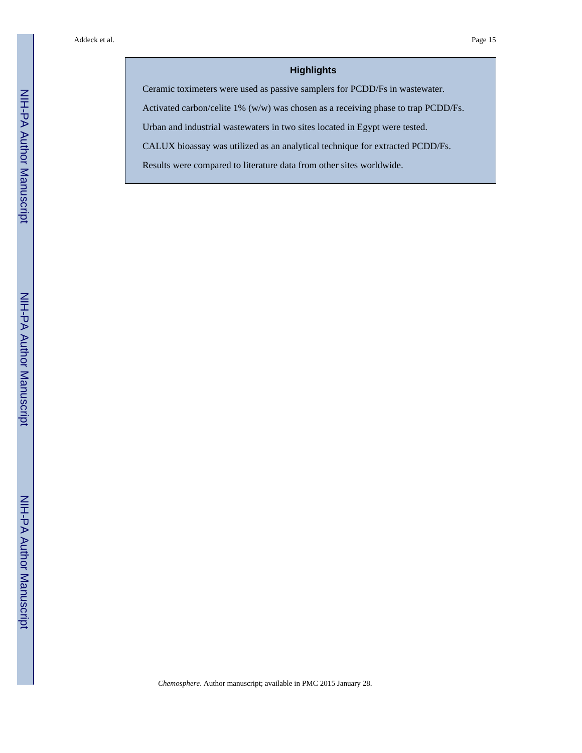# **Highlights**

Ceramic toximeters were used as passive samplers for PCDD/Fs in wastewater.

Activated carbon/celite 1% (w/w) was chosen as a receiving phase to trap PCDD/Fs.

Urban and industrial wastewaters in two sites located in Egypt were tested.

CALUX bioassay was utilized as an analytical technique for extracted PCDD/Fs.

Results were compared to literature data from other sites worldwide.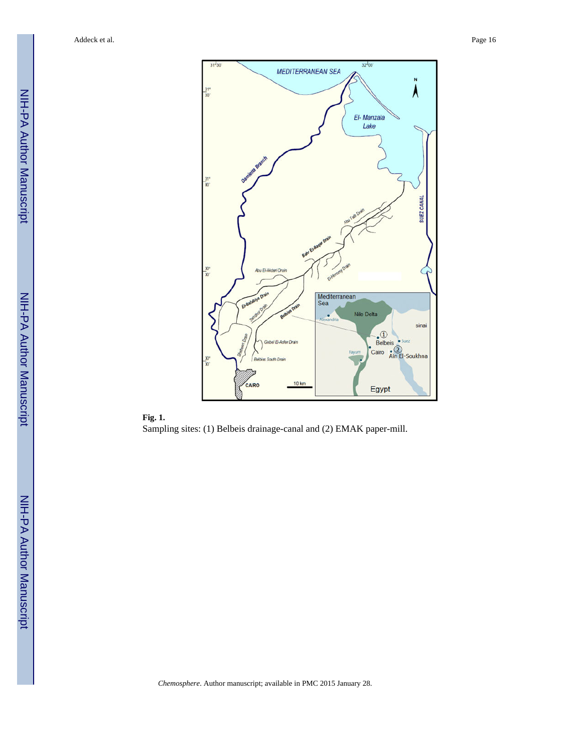



NIH-PA Author Manuscript

NIH-PA Author Manuscript

NIH-PA Author Manuscript

NIH-PA Author Manuscript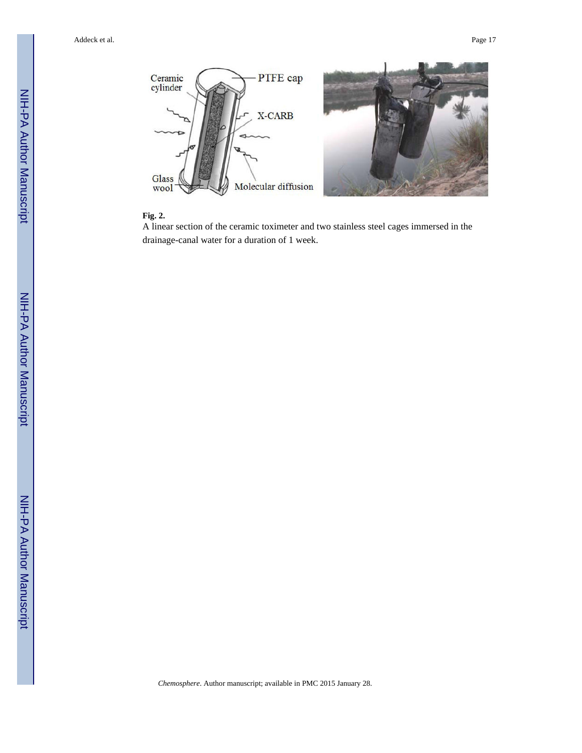

# **Fig. 2.**

A linear section of the ceramic toximeter and two stainless steel cages immersed in the drainage-canal water for a duration of 1 week.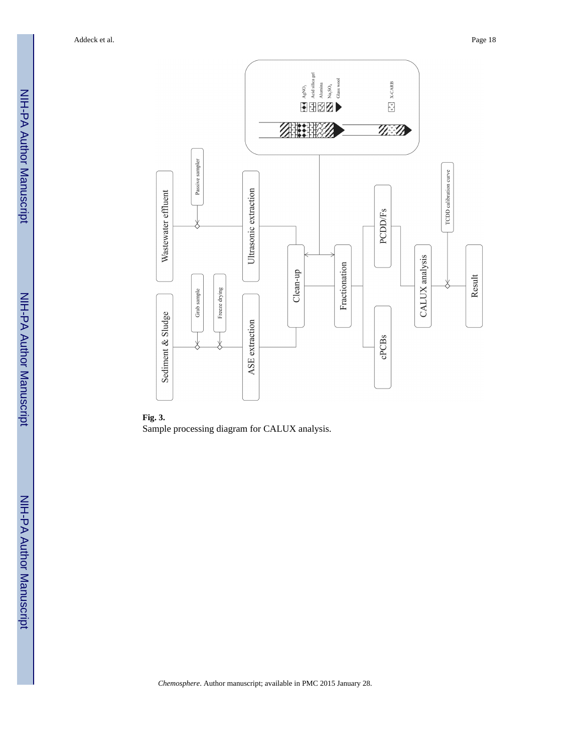

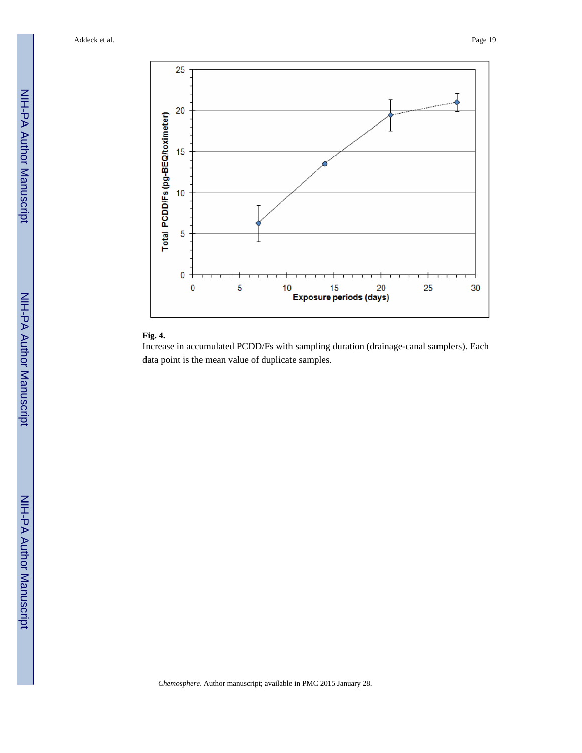

# **Fig. 4.**

Increase in accumulated PCDD/Fs with sampling duration (drainage-canal samplers). Each data point is the mean value of duplicate samples.